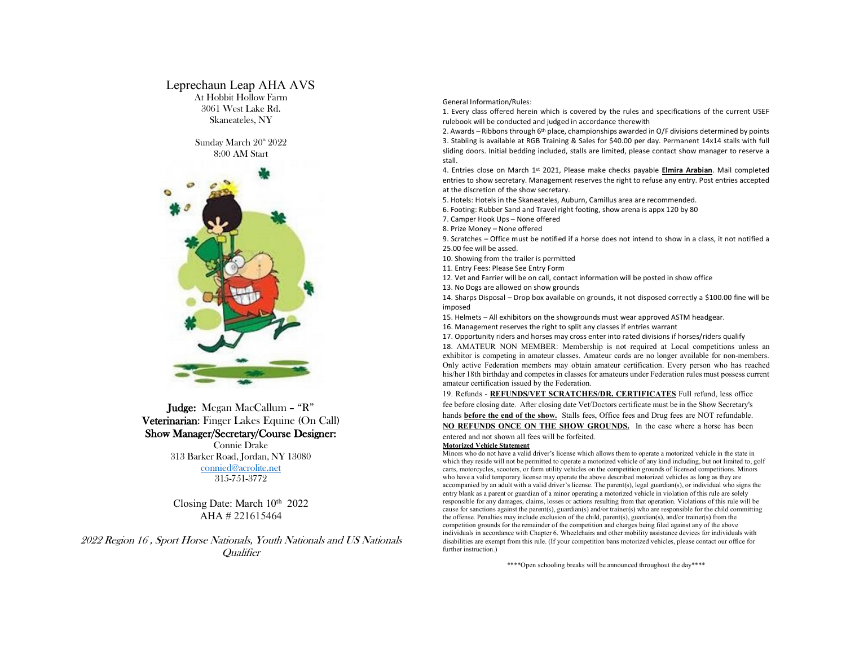# Leprechaun Leap AHA AVS At Hobbit Hollow Farm 3061 West Lake Rd. Skaneateles, NY

Sunday March 20<sup>th</sup> 2022 8:00 AM Start



Judge: Megan MacCallum – "R" Veterinarian: Finger Lakes Equine (On Call) Show Manager/Secretary/Course Designer: Connie Drake 313 Barker Road, Jordan, NY 13080 connied@acrolite.net

315-751-3772

Closing Date: March 10<sup>th</sup> 2022 AHA # 221615464

2022 Region 16 , Sport Horse Nationals, Youth Nationals and US Nationals **Qualifier** 

General Information/Rules:

1. Every class offered herein which is covered by the rules and specifications of the current USEF rulebook will be conducted and judged in accordance therewith

2. Awards – Ribbons through 6<sup>th</sup> place, championships awarded in O/F divisions determined by points 3. Stabling is available at RGB Training & Sales for \$40.00 per day. Permanent 14x14 stalls with full sliding doors. Initial bedding included, stalls are limited, please contact show manager to reserve a stall.

4. Entries close on March 1st 2021, Please make checks payable **Elmira Arabian**. Mail completed entries to show secretary. Management reserves the right to refuse any entry. Post entries accepted at the discretion of the show secretary.

5. Hotels: Hotels in the Skaneateles, Auburn, Camillus area are recommended.

6. Footing: Rubber Sand and Travel right footing, show arena is appx 120 by 80

7. Camper Hook Ups – None offered

8. Prize Money – None offered

9. Scratches – Office must be notified if a horse does not intend to show in a class, it not notified a 25.00 fee will be assed.

10. Showing from the trailer is permitted

11. Entry Fees: Please See Entry Form

12. Vet and Farrier will be on call, contact information will be posted in show office

13. No Dogs are allowed on show grounds

14. Sharps Disposal – Drop box available on grounds, it not disposed correctly a \$100.00 fine will be imposed

15. Helmets – All exhibitors on the showgrounds must wear approved ASTM headgear.

16. Management reserves the right to split any classes if entries warrant

17. Opportunity riders and horses may cross enter into rated divisions if horses/riders qualify

18. AMATEUR NON MEMBER: Membership is not required at Local competitions unless an exhibitor is competing in amateur classes. Amateur cards are no longer available for non-members. Only active Federation members may obtain amateur certification. Every person who has reached his/her 18th birthday and competes in classes for amateurs under Federation rules must possess current amateur certification issued by the Federation.

19. Refunds - **REFUNDS/VET SCRATCHES/DR. CERTIFICATES** Full refund, less office fee before closing date. After closing date Vet/Doctors certificate must be in the Show Secretary's hands **before the end of the show.** Stalls fees, Office fees and Drug fees are NOT refundable. **NO REFUNDS ONCE ON THE SHOW GROUNDS.** In the case where a horse has been entered and not shown all fees will be forfeited.

#### **Motorized Vehicle Statement**

Minors who do not have a valid driver's license which allows them to operate a motorized vehicle in the state in which they reside will not be permitted to operate a motorized vehicle of any kind including, but not limited to, golf carts, motorcycles, scooters, or farm utility vehicles on the competition grounds of licensed competitions. Minors who have a valid temporary license may operate the above described motorized vehicles as long as they are accompanied by an adult with a valid driver's license. The parent(s), legal guardian(s), or individual who signs the entry blank as a parent or guardian of a minor operating a motorized vehicle in violation of this rule are solely responsible for any damages, claims, losses or actions resulting from that operation. Violations of this rule will be cause for sanctions against the parent(s), guardian(s) and/or trainer(s) who are responsible for the child committing the offense. Penalties may include exclusion of the child, parent(s), guardian(s), and/or trainer(s) from the competition grounds for the remainder of the competition and charges being filed against any of the above individuals in accordance with Chapter 6. Wheelchairs and other mobility assistance devices for individuals with disabilities are exempt from this rule. (If your competition bans motorized vehicles, please contact our office for further instruction.)

\*\*\*\*Open schooling breaks will be announced throughout the day\*\*\*\*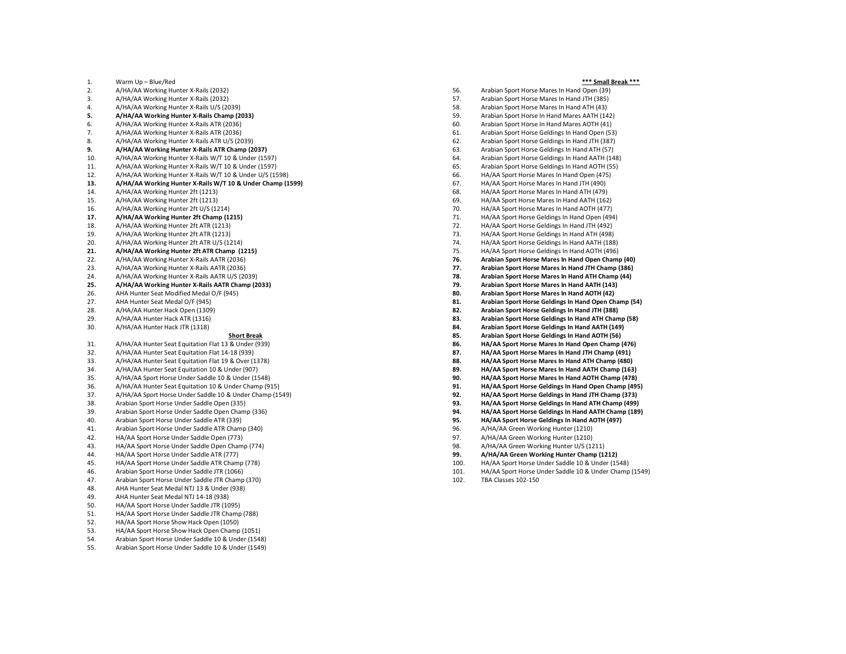#### 1. Warm Up – Blue/Red

- 2. A/HA/AA Working Hunter X -Rails (2032)
- 3. A/HA/AA Working Hunter X -Rails (2032)
- 4. A/HA/AA Working Hunter X -Rails U/S (2039)
- **5. A/HA/AA Working Hunter X -Rails Champ (2033)**
- 6. A/HA/AA Working Hunter X -Rails ATR (2036)
- 7. A/HA/AA Working Hunter X -Rails ATR (2036)
- 8. A/HA/AA Working Hunter X -Rails ATR U/S (2039)
- **9. A/HA/AA Working Hunter X -Rails ATR Champ (2037)**
- 10. A/HA/AA Working Hunter X -Rails W/T 10 & Under (1597)
- 11. A/HA/AA Working Hunter X -Rails W/T 10 & Under (1597)
- 12. A/HA/AA Working Hunter X -Rails W/T 10 & Under U/S (1598)
- **13. A/HA/AA Working Hunter X -Rails W/T 10 & Under Champ (1599)**
- 14. A/HA/AA Working Hunter 2ft (1213)
- 15. A/HA/AA Working Hunter 2ft (1213)
- 16. A/HA/AA Working Hunter 2ft U/S (1214)
- **17. A/HA/AA Working Hunter 2ft Champ (1215)**
- 18. A/HA/AA Working Hunter 2ft ATR (1213)
- 19. A/HA/AA Working Hunter 2ft ATR (1213)
- 20. A/HA/AA Working Hunter 2ft ATR U/S (1214)
- **21. A/HA/AA Working Hunter 2ft ATR Champ (1215)**
- 22. A/HA/AA Working Hunter X -Rails AATR (2036)
- 23. A/HA/AA Working Hunter X -Rails AATR (2036)
- 24. A/HA/AA Working Hunter X -Rails AATR U/S (2039)
- **25. A/HA/AA Working Hunter X -Rails AATR Champ (2033)**
- 26. AHA Hunter Seat Modified Medal O/F (945)
- 27. AHA Hunter Seat Medal O/F (945)<br>28. A/HA/AA Hunter Hack Open (1309
- 28. A/HA/AA Hunter Hack Open (1309)<br>29. A/HA/AA Hunter Hack ATR (1316)
- 29. A/HA/AA Hunter Hack ATR (1316)<br>30. A/HA/AA Hunter Hack JTR (1318)
- 30. A/HA/AA Hunter Hack JTR (1318)

#### **Short Break**

- 31. A/HA/AA Hunter Seat Equitation Flat 13 & Under (939)
- 32. A/HA/AA Hunter Seat Equitation Flat 14 -18 (939)
- 33. A/HA/AA Hunter Seat Equitation Flat 19 & Over (1378)
- 34. A/HA/AA Hunter Seat Equitation 10 & Under (907)
- 35. A/HA/AA Sport Horse Under Saddle 10 & Under (1548)
- 
- 36. A/HA/AA Hunter Seat Equitation 10 & Under Champ (915) 37. A/HA/AA Sport Horse Under Saddle 10 & Under Champ (1549)
- 38. Arabian Sport Horse Under Saddle Open (335)
- 
- 39. Arabian Sport Horse Under Saddle Open Champ (336) Arabian Sport Horse Under Saddle ATR (339)
- 41. Arabian Sport Horse Under Saddle ATR Champ (340)
- 
- 42. HA/AA Sport Horse Under Saddle Open (773) 43. HA/AA Sport Horse Under Saddle Open Champ (774)
- 
- 44. HA/AA Sport Horse Under Saddle ATR (777)
- 45. HA/AA Sport Horse Under Saddle ATR Champ (778) Arabian Sport Horse Under Saddle JTR (1066)
- 
- 47. Arabian Sport Horse Under Saddle JTR Champ (370)<br>48. AHA Hunter Seat Medal NTJ 13 & Under (938) 48. AHA Hunter Seat Medal NTJ 13 & Under (938)
- 49. AHA Hunter Seat Medal NTJ 14 -18 (938)
- 50. HA/AA Sport Horse Under Saddle JTR (1095)
- 51. HA/AA Sport Horse Under Saddle JTR Champ (788)
- 52. HA/AA Sport Horse Show Hack Open (1050)
- 53. HA/AA Sport Horse Show Hack Open Champ (1051)
- 54. Arabian Sport Horse Under Saddle 10 & Under (1548)
- 55. Arabian Sport Horse Under Saddle 10 & Under (154 9 )
- 56. Arabian Sport Horse Mares In Hand Open (39) 57. Arabian Sport Horse Mares In Hand JTH (385) 58. Arabian Sport Horse Mares In Hand ATH (43) 59. Arabian Sport Horse In Hand Mares AATH (142) 60. Arabian Sport Horse In Hand Mares AOTH (41) 61. Arabian Sport Horse Geldings In Hand Open (53) 62. Arabian Sport Horse Geldings In Hand JTH (387) 63. Arabian Sport Horse Geldings In Hand ATH (57) 64. Arabian Sport Horse Geldings In Hand AATH (148) 65. Arabian Sport Horse Geldings In Hand AOTH (55) 66. HA/AA Sport Horse Mares In Hand Open (475) 67. HA/AA Sport Horse Mares In Hand JTH (490) 68. HA/AA Sport Horse Mares In Hand ATH (479) 69. HA/AA Sport Horse Mares In Hand A ATH (162) 70. HA/AA Sport Horse Mares In Hand A OTH (477) 71. HA/AA Sport Horse Geldings In Hand Open (494) 72. HA/AA Sport Horse Geldings In Hand JTH (492) 73. HA/AA Sport Horse Geldings In Hand ATH (498) 74. HA/AA Sport Horse Geldings In Hand A ATH (188) 75. HA/AA Sport Horse Geldings In Hand A OTH (496) **76. Arabian Sport Horse Mares In Hand Open Champ (40) 77. Arabian Sport Horse Mares In Hand JTH Champ (386) 78. Arabian Sport Horse Mares In Hand ATH Champ (44) 79. Arabian Sport Horse Mares In Hand AATH (143) 80. Arabian Sport Horse Mares In Hand AOTH (42) 81. Arabian Sport Horse Geldings In Hand Open Champ (54) 82. Arabian Sport Horse Geldings In Hand JTH (388) 83. Arabian Sport Horse Geldings In Hand ATH Champ (58) 84. Arabian Sport Horse Geldings In Hand AATH (149) 85. Arabian Sport Horse Geldings In Hand AOTH (56) 86. HA/AA Sport Horse Mares In Hand Open Champ (476) 87. HA/AA Sport Horse Mares In Hand JTH Champ (491) 88. HA/AA Sport Horse Mares In Hand ATH Champ (480) 89. HA/AA Sport Horse Mares In Hand AATH Champ (163) 90. HA/AA Sport Horse Mares In Hand AOTH Champ (478) 91. HA/AA Sport Horse Geldings In Hand Open Champ (495) 92. HA/AA Sport Horse Geldings In Hand JTH Champ (373) 93. HA/AA Sport Horse Geldings In Hand ATH Champ (49 9 )**
- **94. HA/AA Sport Horse Geldings In Hand AATH Champ (189)**
- **95. HA/AA Sport Horse Geldings In Hand AOTH (497)**
- 96. A/HA/AA Green Working Hunter (1210)<br>97. A/HA/AA Green Working Hunter (1210)
- 97. A/HA/AA Green Working Hunter (1210)<br>98. A/HA/AA Green Working Hunter U/S (12
- A/HA/AA Green Working Hunter U/S (1211)
- **99. A/HA/AA Green Working Hunter Champ (1212)**
- 
- 100. HA/AA Sport Horse Under Saddle 10 & Under (1548) 101. HA/AA Sport Horse Under Saddle 10 & Under Champ (154 9 )
- 102. TBA Classes 10 2 150

#### **\*\*\* Small Break \*\*\***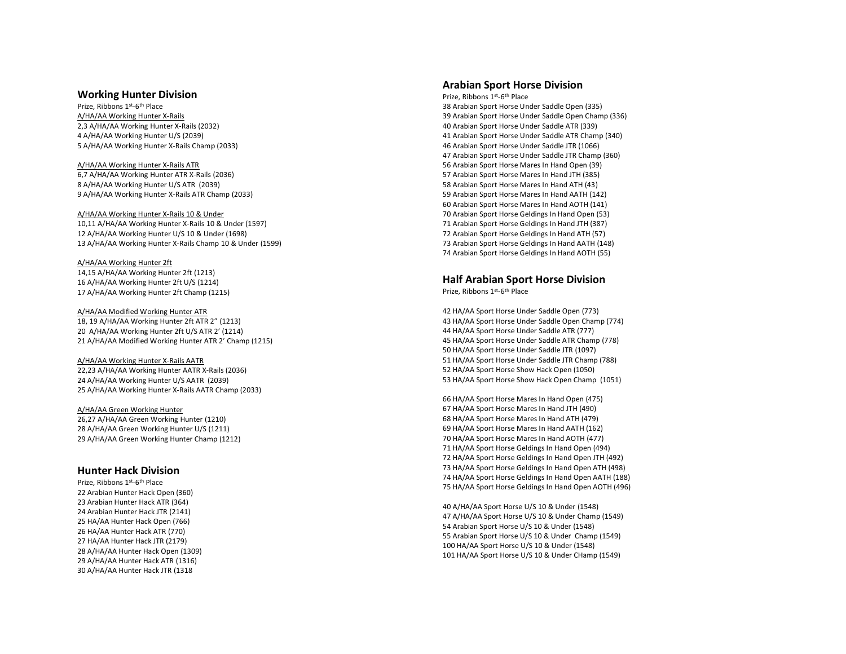# **Working Hunter Division**

Prize, Ribbons 1st-6th Place A/HA/AA Working Hunter X-Rails 2,3 A/HA/AA Working Hunter X -Rails (2032) 4 A/HA/AA Working Hunter U/S (2039) 5 A/HA/AA Working Hunter X -Rails Champ (2033)

#### A/HA/AA Working Hunter X -Rails ATR

6,7 A/HA/AA Working Hunter ATR X -Rails (2036) 8 A/HA/AA Working Hunter U/S ATR (2039) 9 A/HA/AA Working Hunter X -Rails ATR Champ (2033)

#### A/HA/AA Working Hunter X-Rails 10 & Under 10,11 A/HA/AA Working Hunter X -Rails 10 & Under (1597) 12 A/HA/AA Working Hunter U/S 10 & Under (1698 ) 13 A/HA/AA Working Hunter X-Rails Champ 10 & Under (1599)

A/HA/AA Working Hunter 2ft 14,15 A/HA/AA Working Hunter 2ft (1213) 16 A/HA/AA Working Hunter 2ft U/S (1214) 17 A/HA/AA Working Hunter 2ft Champ (1215)

## A/HA/AA Modified Working Hunter ATR 18, 19 A/HA/AA Working Hunter 2ft ATR 2" (1213) 20 A/HA/AA Working Hunter 2ft U/S ATR 2' (1214) 21 A/HA/AA Modified Working Hunter ATR 2' Champ (1215)

A/HA/AA Working Hunter X-Rails AATR

22,23 A/HA/AA Working Hunter A ATR X -Rails (2036) 24 A/HA/AA Working Hunter U/S A ATR (2039) 25 A/HA/AA Working Hunter X -Rails A ATR Champ (2033)

## A/HA/AA Green Working Hunter

26,27 A/HA/AA Green Working Hunter (1210 ) 28 A/HA/AA Green Working Hunter U/S (1211) 29 A/HA/AA Green Working Hunter Champ (1212)

# **Hunter Hack Division**

Prize, Ribbons 1st-6th Place 22 Arabian Hunter Hack Open (360) 23 Arabian Hunter Hack ATR (364) 24 Arabian Hunter Hack JTR (2141) 25 HA/AA Hunter Hack Open (766) 26 HA/AA Hunter Hack ATR (770) 27 HA/AA Hunter Hack JTR (2179) 28 A/HA/AA Hunter Hack Open (1309) 29 A/HA/AA Hunter Hack ATR (1316) 30 A/HA/AA Hunter Hack JTR (1318

# **Arabian Sport Horse Division**

Prize, Ribbons 1st-6th Place 8 Arabian Sport Horse Under Saddle Open (335) 9 Arabian Sport Horse Under Saddle Open Champ (336) 0 Arabian Sport Horse Under Saddle ATR (339) 1 Arabian Sport Horse Under Saddle ATR Champ (340) Arabian Sport Horse Under Saddle JTR (1066) Arabian Sport Horse Under Saddle JTR Champ (360) Arabian Sport Horse Mares In Hand Open (39) Arabian Sport Horse Mares In Hand JTH (385) Arabian Sport Horse Mares In Hand ATH (43) 59 Arabian Sport Horse Mares In Hand A ATH (142) 60 Arabian Sport Horse Mares In Hand A OTH (141) 0 Arabian Sport Horse Geldings In Hand Open (53) 1 Arabian Sport Horse Geldings In Hand JTH (387) 2 Arabian Sport Horse Geldings In Hand ATH (57) 73 Arabian Sport Horse Geldings In Hand AATH (148) 74 Arabian Sport Horse Geldings In Hand AOTH (55)

# **Half Arabian Sport Horse Division**

Prize, Ribbons 1st-6th Place

 2 HA/AA Sport Horse Under Saddle Open (773) 3 HA/AA Sport Horse Under Saddle Open Champ (774) 4 HA/AA Sport Horse Under Saddle ATR (777) 5 HA/AA Sport Horse Under Saddle ATR Champ (778) HA/AA Sport Horse Under Saddle JTR (1097) HA/AA Sport Horse Under Saddle JTR Champ (788) HA/AA Sport Horse Show Hack Open (1050) HA/AA Sport Horse Show Hack Open Champ (1051)

 HA/AA Sport Horse Mares In Hand Open (475) HA/AA Sport Horse Mares In Hand JTH (490) HA/AA Sport Horse Mares In Hand ATH (479) 69 HA/AA Sport Horse Mares In Hand A ATH (162) 70 HA/AA Sport Horse Mares In Hand A OTH (477) 1 HA/AA Sport Horse Geldings In Hand Open (494) HA/AA Sport Horse Geldings In Hand Open JTH (492) HA/AA Sport Horse Geldings In Hand Open ATH (498) HA/AA Sport Horse Geldings In Hand Open AATH (188) HA/AA Sport Horse Geldings In Hand Open AOTH (496)

40 A/HA/AA Sport Horse U/S 10 & Under (1548) 47 A/HA/AA Sport Horse U/S 10 & Under Champ (1549) 54 Arabian Sport Horse U/S 10 & Under (1548) 55 Arabian Sport Horse U/S 10 & Under Champ (1549) 100 HA/AA Sport Horse U/S 10 & Under (1548) 101 HA/AA Sport Horse U/S 10 & Under CHamp (154 9 )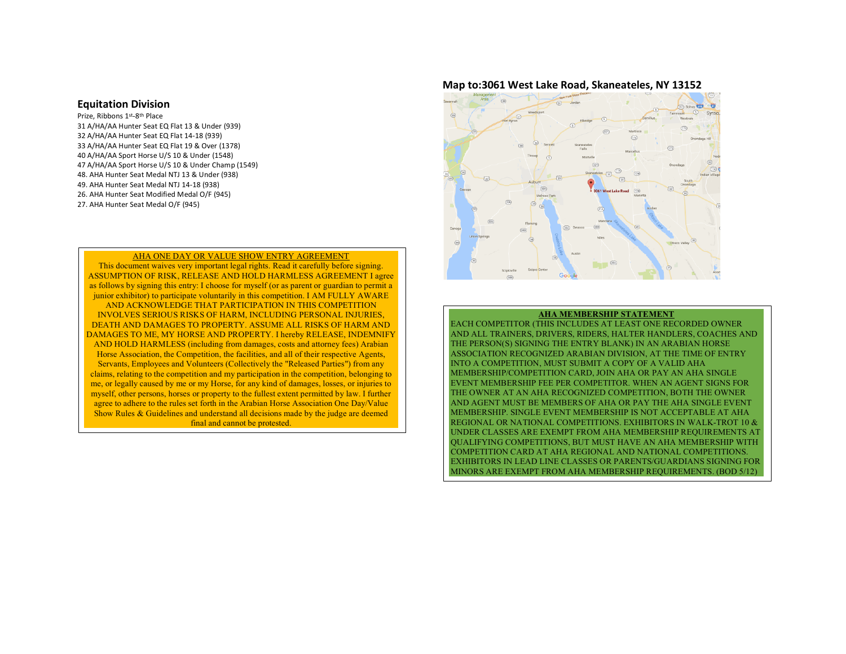## **Equitation Division**

Prize, Ribbons 1st-8th Place 31 A/HA/AA Hunter Seat EQ Flat 13 & Under (939) 32 A/HA/AA Hunter Seat EQ Flat 14-18 (939) 33 A/HA/AA Hunter Seat EQ Flat 19 & Over (1378) 40 A/HA/AA Sport Horse U/S 10 & Under (1548) 47 A/HA/AA Sport Horse U/S 10 & Under Champ (1549) 48. AHA Hunter Seat Medal NTJ 13 & Under (938) 49. AHA Hunter Seat Medal NTJ 14-18 (938) 26. AHA Hunter Seat Modified Medal O/F (945) 27. AHA Hunter Seat Medal O/F (945)

### AHA ONE DAY OR VALUE SHOW ENTRY AGREEMENT

This document waives very important legal rights. Read it carefully before signing. ASSUMPTION OF RISK, RELEASE AND HOLD HARMLESS AGREEMENT I agree as follows by signing this entry: I choose for myself (or as parent or guardian to permit a junior exhibitor) to participate voluntarily in this competition. I AM FULLY AWARE AND ACKNOWLEDGE THAT PARTICIPATION IN THIS COMPETITION INVOLVES SERIOUS RISKS OF HARM, INCLUDING PERSONAL INJURIES, DEATH AND DAMAGES TO PROPERTY. ASSUME ALL RISKS OF HARM AND DAMAGES TO ME, MY HORSE AND PROPERTY. I hereby RELEASE, INDEMNIFY AND HOLD HARMLESS (including from damages, costs and attorney fees) Arabian Horse Association, the Competition, the facilities, and all of their respective Agents, Servants, Employees and Volunteers (Collectively the "Released Parties") from any claims, relating to the competition and my participation in the competition, belonging to me, or legally caused by me or my Horse, for any kind of damages, losses, or injuries to myself, other persons, horses or property to the fullest extent permitted by law. I further agree to adhere to the rules set forth in the Arabian Horse Association One Day/Value Show Rules & Guidelines and understand all decisions made by the judge are deemed final and cannot be protested.

# **Map to:3061 West Lake Road, Skaneateles, NY 13152**



## **AHA MEMBERSHIP STATEMENT**

EACH COMPETITOR (THIS INCLUDES AT LEAST ONE RECORDED OWNER AND ALL TRAINERS, DRIVERS, RIDERS, HALTER HANDLERS, COACHES AND THE PERSON(S) SIGNING THE ENTRY BLANK) IN AN ARABIAN HORSE ASSOCIATION RECOGNIZED ARABIAN DIVISION, AT THE TIME OF ENTRY INTO A COMPETITION, MUST SUBMIT A COPY OF A VALID AHA MEMBERSHIP/COMPETITION CARD, JOIN AHA OR PAY AN AHA SINGLE EVENT MEMBERSHIP FEE PER COMPETITOR. WHEN AN AGENT SIGNS FOR THE OWNER AT AN AHA RECOGNIZED COMPETITION, BOTH THE OWNER AND AGENT MUST BE MEMBERS OF AHA OR PAY THE AHA SINGLE EVENT MEMBERSHIP. SINGLE EVENT MEMBERSHIP IS NOT ACCEPTABLE AT AHA REGIONAL OR NATIONAL COMPETITIONS. EXHIBITORS IN WALK-TROT 10 & UNDER CLASSES ARE EXEMPT FROM AHA MEMBERSHIP REQUIREMENTS AT QUALIFYING COMPETITIONS, BUT MUST HAVE AN AHA MEMBERSHIP WITH COMPETITION CARD AT AHA REGIONAL AND NATIONAL COMPETITIONS. EXHIBITORS IN LEAD LINE CLASSES OR PARENTS/GUARDIANS SIGNING FOR MINORS ARE EXEMPT FROM AHA MEMBERSHIP REQUIREMENTS. (BOD 5/12)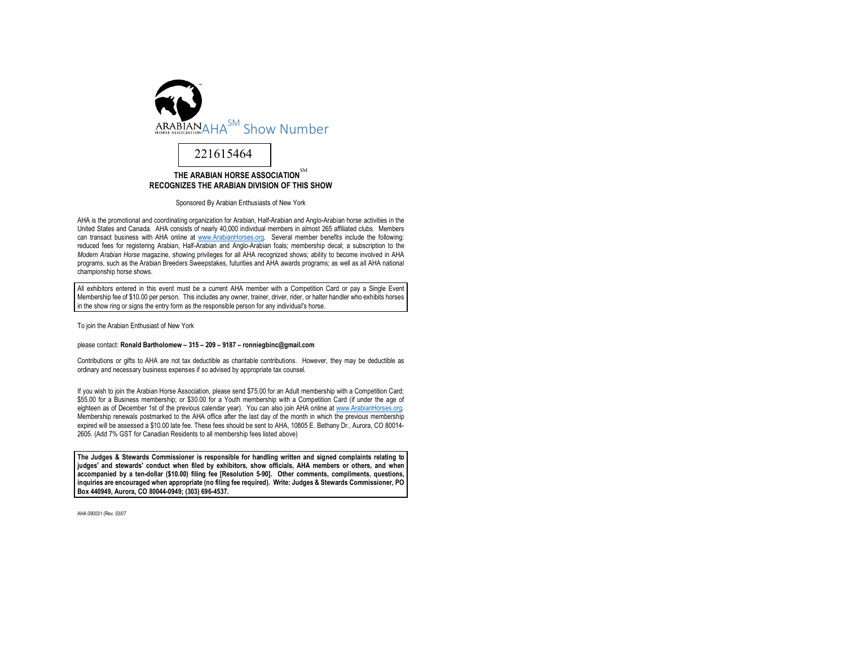

Sponsored By Arabian Enthusiasts of New York

AHA is the promotional and coordinating organization for Arabian, Half-Arabian and Anglo-Arabian horse activities in the United States and Canada. AHA consists of nearly 40,000 individual members in almost 265 affiliated clubs. Members can transact business with AHA online at www.ArabianHorses.org. Several member benefits include the following: reduced fees for registering Arabian, Half-Arabian and Anglo-Arabian foals; membership decal; a subscription to the *Modern Arabian Horse* magazine, showing privileges for all AHA recognized shows; ability to become involved in AHA programs, such as the Arabian Breeders Sweepstakes, futurities and AHA awards programs; as well as all AHA national championship horse shows.

All exhibitors entered in this event must be a current AHA member with a Competition Card or pay a Single Event Membership fee of \$10.00 per person. This includes any owner, trainer, driver, rider, or halter handler who exhibits horses in the show ring or signs the entry form as the responsible person for any individual's horse.

To join the Arabian Enthusiast of New York

please contact: **Ronald Bartholomew – 315 – 209 – 9187 – ronniegbinc@gmail.com**

Contributions or gifts to AHA are not tax deductible as charitable contributions. However, they may be deductible as ordinary and necessary business expenses if so advised by appropriate tax counsel.

If you wish to join the Arabian Horse Association, please send \$75.00 for an Adult membership with a Competition Card; \$55.00 for a Business membership; or \$30.00 for a Youth membership with a Competition Card (if under the age of eighteen as of December 1st of the previous calendar year). You can also join AHA online at www.ArabianHorses.org. Membership renewals postmarked to the AHA office after the last day of the month in which the previous membership expired will be assessed a \$10.00 late fee. These fees should be sent to AHA, 10805 E. Bethany Dr., Aurora, CO 80014- 2605. (Add 7% GST for Canadian Residents to all membership fees listed above)

**The Judges & Stewards Commissioner is responsible for handling written and signed complaints relating to judges' and stewards' conduct when filed by exhibitors, show officials, AHA members or others, and when accompanied by a ten-dollar (\$10.00) filing fee [Resolution 5-90]. Other comments, compliments, questions, inquiries are encouraged when appropriate (no filing fee required). Write: Judges & Stewards Commissioner, PO Box 440949, Aurora, CO 80044-0949; (303) 696-4537.**

AHA 090031 (Rev. 03/07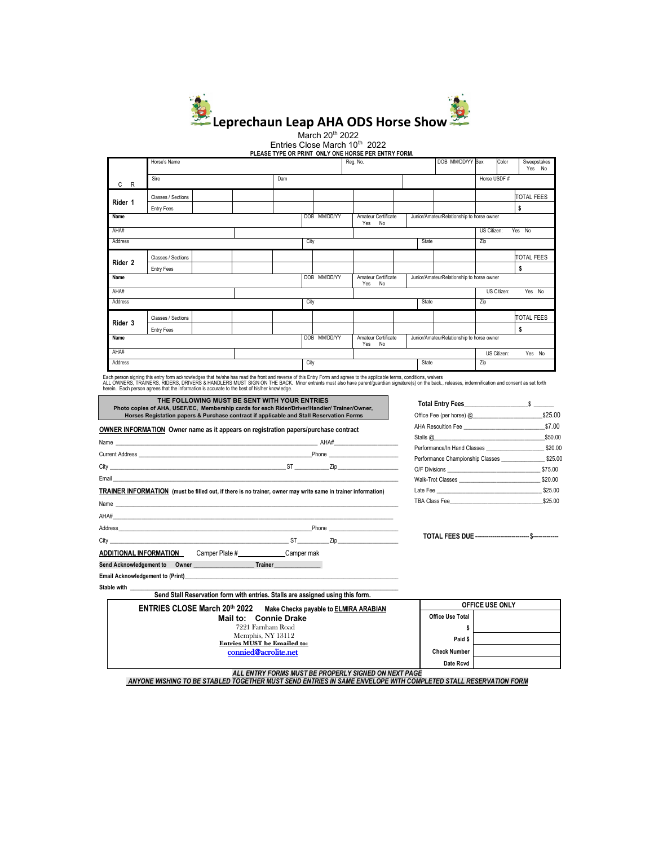

March 20<sup>th</sup> 2022 Entries Close March 10<sup>th</sup> 2022

**PLEASE TYPE OR PRINT ONLY ONE HORSE PER ENTRY FORM.**<br>PLEASE TYPE OR PRINT ONLY ONE HORSE PER ENTRY FORM.

|         | Horse's Name       |  |                                                  |      | Reg. No.     |                                           |                                                                               |             | DOB MM/DD/YY Sex |     | Color       | Sweepstakes<br>Yes No |                   |
|---------|--------------------|--|--------------------------------------------------|------|--------------|-------------------------------------------|-------------------------------------------------------------------------------|-------------|------------------|-----|-------------|-----------------------|-------------------|
| C<br>R  | Sire<br>Dam        |  |                                                  |      |              |                                           |                                                                               |             |                  |     | Horse USDF# |                       |                   |
| Rider 1 | Classes / Sections |  |                                                  |      |              |                                           |                                                                               |             |                  |     |             |                       | <b>TOTAL FEES</b> |
|         | <b>Entry Fees</b>  |  |                                                  |      |              |                                           |                                                                               |             |                  |     |             |                       | \$                |
| Name    |                    |  | DOB MM/DD/YY<br>Amateur Certificate<br>No<br>Yes |      |              | Junior/AmateurRelationship to horse owner |                                                                               |             |                  |     |             |                       |                   |
| AHA#    |                    |  |                                                  |      |              |                                           | Yes No<br>US Citizen:                                                         |             |                  |     |             |                       |                   |
| Address |                    |  | City                                             |      |              | State                                     |                                                                               |             |                  | Zip |             |                       |                   |
| Rider 2 | Classes / Sections |  |                                                  |      |              |                                           |                                                                               |             |                  |     |             |                       | <b>TOTAL FEES</b> |
|         | Entry Fees         |  |                                                  |      |              |                                           |                                                                               |             |                  |     |             |                       | \$                |
| Name    |                    |  |                                                  |      | DOB MM/DD/YY |                                           | Amateur Certificate<br>Junior/AmateurRelationship to horse owner<br>No<br>Yes |             |                  |     |             |                       |                   |
| AHA#    |                    |  |                                                  |      |              |                                           |                                                                               | US Citizen: |                  |     | Yes No      |                       |                   |
| Address |                    |  |                                                  | City |              |                                           |                                                                               |             | State            |     | Zip         |                       |                   |
| Rider 3 | Classes / Sections |  |                                                  |      |              |                                           |                                                                               |             |                  |     |             |                       | <b>TOTAL FEES</b> |
|         | Entry Fees         |  |                                                  |      |              |                                           |                                                                               |             |                  |     |             |                       | \$                |
| Name    |                    |  | DOB MM/DD/YY<br>Amateur Certificate<br>Yes<br>No |      |              | Junior/AmateurRelationship to horse owner |                                                                               |             |                  |     |             |                       |                   |
| AHA#    |                    |  |                                                  |      |              |                                           |                                                                               |             |                  |     |             | US Citizen:           | Yes No            |
| Address |                    |  |                                                  | City |              |                                           |                                                                               | State       |                  | Zip |             |                       |                   |

Each person signing this entry form acknowledges that he/she has read the front and reverse of this Entry Form and agrees to the applicable terms, conditions, waivers<br>ALL OWNERS, TRAINERS, RIDERS, DRIVERS & HANDLERS MUST F

| THE FOLLOWING MUST BE SENT WITH YOUR ENTRIES<br>Photo copies of AHA, USEF/EC. Membership cards for each Rider/Driver/Handler/ Trainer/Owner.                                                                                       | Total Entry Fees <b>with State State</b> State State State State State State State State State State State State State State State State State State State State State State State State State State State State State State State |         |
|------------------------------------------------------------------------------------------------------------------------------------------------------------------------------------------------------------------------------------|------------------------------------------------------------------------------------------------------------------------------------------------------------------------------------------------------------------------------------|---------|
| Horses Registation papers & Purchase contract if applicable and Stall Reservation Forms                                                                                                                                            |                                                                                                                                                                                                                                    | \$25.00 |
| OWNER INFORMATION Owner name as it appears on registration papers/purchase contract                                                                                                                                                |                                                                                                                                                                                                                                    |         |
| Name $AHA#$                                                                                                                                                                                                                        | Stalls @ \$50.00                                                                                                                                                                                                                   |         |
|                                                                                                                                                                                                                                    | Performance/In Hand Classes 320.00                                                                                                                                                                                                 |         |
|                                                                                                                                                                                                                                    | Performance Championship Classes \$25.00                                                                                                                                                                                           |         |
|                                                                                                                                                                                                                                    | O/F Divisions \$75.00                                                                                                                                                                                                              |         |
| Email <b>Example 2008 Contract Contract Contract Contract Contract Contract Contract Contract Contract Contract Contract Contract Contract Contract Contract Contract Contract Contract Contract Contract Contract Contract Co</b> |                                                                                                                                                                                                                                    | \$20.00 |
| TRAINER INFORMATION (must be filled out, if there is no trainer, owner may write same in trainer information)                                                                                                                      |                                                                                                                                                                                                                                    |         |
| Name and the contract of the contract of the contract of the contract of the contract of the contract of the contract of the contract of the contract of the contract of the contract of the contract of the contract of the c     | TBA Class Fee                                                                                                                                                                                                                      | \$25.00 |
|                                                                                                                                                                                                                                    |                                                                                                                                                                                                                                    |         |
|                                                                                                                                                                                                                                    |                                                                                                                                                                                                                                    |         |
|                                                                                                                                                                                                                                    |                                                                                                                                                                                                                                    |         |
| <b>ADDITIONAL INFORMATION</b> Camper Plate # Camper mak                                                                                                                                                                            |                                                                                                                                                                                                                                    |         |
| Send Acknowledgement to Owner <b>Community</b> Trainer                                                                                                                                                                             |                                                                                                                                                                                                                                    |         |
| Email Acknowledgement to (Print)                                                                                                                                                                                                   |                                                                                                                                                                                                                                    |         |
| Stable with                                                                                                                                                                                                                        |                                                                                                                                                                                                                                    |         |
| Send Stall Reservation form with entries. Stalls are assigned using this form.                                                                                                                                                     |                                                                                                                                                                                                                                    |         |
| ENTRIES CLOSE March 20th 2022<br>Make Checks payable to <b>ELMIRA ARABIAN</b>                                                                                                                                                      | OFFICE USE ONLY                                                                                                                                                                                                                    |         |
| Mail to: Connie Drake                                                                                                                                                                                                              | <b>Office Use Total</b>                                                                                                                                                                                                            |         |
| 7221 Farnham Road                                                                                                                                                                                                                  | \$                                                                                                                                                                                                                                 |         |
| Memphis, NY 13112<br><b>Entries MUST</b> be Emailed to:                                                                                                                                                                            | Paid \$                                                                                                                                                                                                                            |         |
| connied@acrolite.net                                                                                                                                                                                                               | <b>Check Number</b>                                                                                                                                                                                                                |         |
|                                                                                                                                                                                                                                    | Date Rcvd                                                                                                                                                                                                                          |         |

*ALL ENTRY FORMS MUST BE PROPERLY SIGNED ON NEXT PAGE ANYONE WISHING TO BE STABLED TOGETHER MUST SEND ENTRIES IN SAME ENVELOPE WITH COMPLETED STALL RESERVATION FORM*